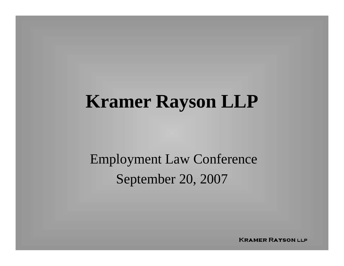#### **Kramer Rayson LLP**

Employment Law Conference September 20, 2007

**KRAMER RAYSON LLP**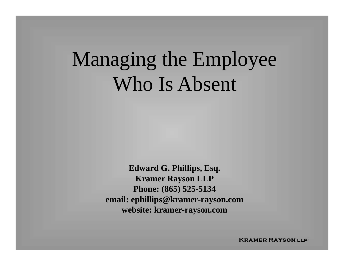## Managing the Employee Who Is Absent

**Edward G. Phillips, Esq. Kramer Rayson LLP Phone: (865) 525-5134 email: ephillips@kramer-rayson.com website: kramer-rayson.com**

**KRAMER RAYSON LLP**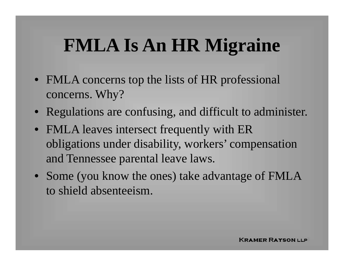## **FMLA Is An HR Migraine**

- FMLA concerns top the lists of HR professional concerns. Why?
- Regulations are confusing, and difficult to administer.
- FMLA leaves intersect frequently with ER obligations under disability, workers' compensation and Tennessee parental leave laws.
- Some (you know the ones) take advantage of FMLA to shield absenteeism.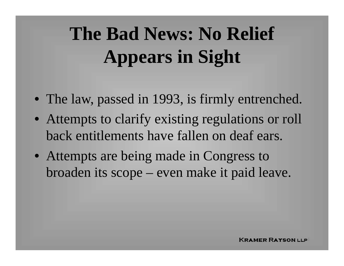# **The Bad News: No Relief Appears in Sight**

- The law, passed in 1993, is firmly entrenched.
- Attempts to clarify existing regulations or roll back entitlements have fallen on deaf ears.
- Attempts are being made in Congress to broaden its scope – even make it paid leave.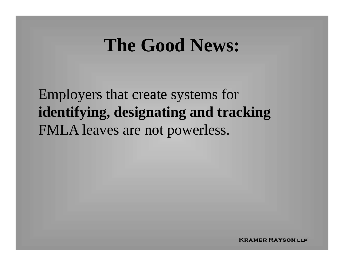#### **The Good News:**

Employers that create systems for **identifying, designating and tracking** FMLA leaves are not powerless.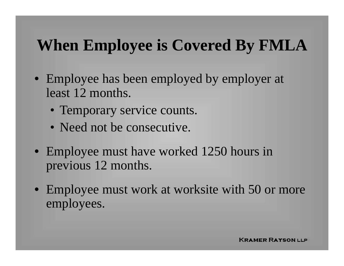#### **When Employee is Covered By FMLA**

- Employee has been employed by employer at least 12 months.
	- Temporary service counts.
	- Need not be consecutive.
- Employee must have worked 1250 hours in previous 12 months.
- Employee must work at worksite with 50 or more employees.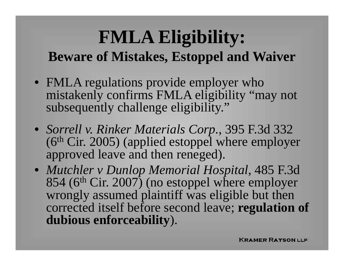#### **FMLA Eligibility: Beware of Mistakes, Estoppel and Waiver**

- FMLA regulations provide employer who mistakenly confirms FMLA eligibility "may not subsequently challenge eligibility."
- *Sorrell v. Rinker Materials Corp*., 395 F.3d 332  $(6<sup>th</sup> Cir. 2005)$  (applied estoppel where employer approved leave and then reneged).
- *Mutchler v Dunlop Memorial Hospital*, 485 F.3d 854 (6<sup>th</sup> Cir. 2007) (no estoppel where employer wrongly assumed plaintiff was eligible but then corrected itself before second leave; **regulation of dubious enforceability**).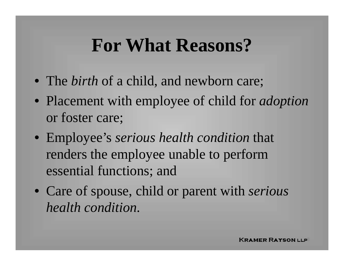#### **For What Reasons?**

- The *birth* of a child, and newborn care;
- Placement with employee of child for *adoption* or foster care;
- Employee's *serious health condition* that renders the employee unable to perform essential functions; and
- Care of spouse, child or parent with *serious health condition.*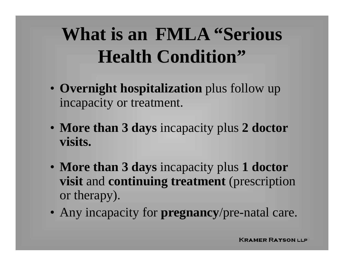## **What is an FMLA "Serious Health Condition"**

- **Overnight hospitalization** plus follow up incapacity or treatment.
- **More than 3 days** incapacity plus **2 doctor visits.**
- **More than 3 days** incapacity plus **1 doctor visit** and **continuing treatment** (prescription or therapy).
- Any incapacity for **pregnancy**/pre-natal care.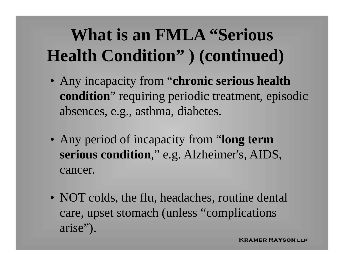#### **What is an FMLA "Serious Health Condition" ) (continued)**

- Any incapacity from "**chronic serious health condition**" requiring periodic treatment, episodic absences, e.g., asthma, diabetes.
- Any period of incapacity from "**long term serious condition**," e.g. Alzheimer's, AIDS, cancer.
- NOT colds, the flu, headaches, routine dental care, upset stomach (unless "complications arise").

KRAMER RAYSON LLP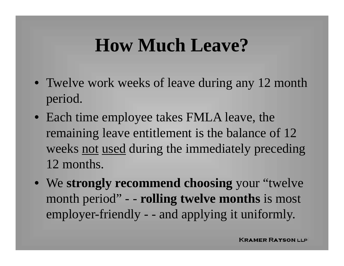#### **How Much Leave?**

- Twelve work weeks of leave during any 12 month period.
- Each time employee takes FMLA leave, the remaining leave entitlement is the balance of 12 weeks not used during the immediately preceding 12 months.
- We **strongly recommend choosing** your "twelve month period" - - **rolling twelve months** is most employer-friendly - - and applying it uniformly.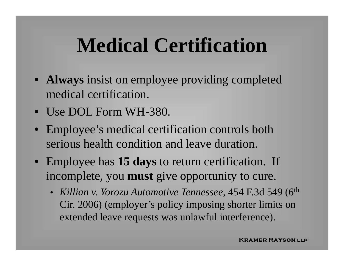## **Medical Certification**

- **Always** insist on employee providing completed medical certification.
- Use DOL Form WH-380.
- Employee's medical certification controls both serious health condition and leave duration.
- Employee has **15 days** to return certification. If incomplete, you **must** give opportunity to cure.
	- • *Killian v. Yorozu Automotive Tennessee*, 454 F.3d 549 (6th Cir. 2006) (employer's policy imposing shorter limits on extended leave requests was unlawful interference).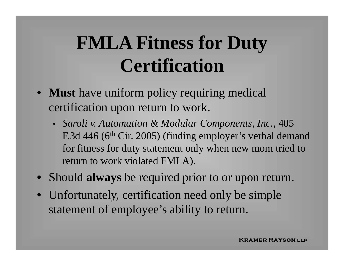## **FMLA Fitness for Duty Certification**

- **Must** have uniform policy requiring medical certification upon return to work.
	- *Saroli v. Automation & Modular Components, Inc.*, 405 F.3d 446 (6<sup>th</sup> Cir. 2005) (finding employer's verbal demand for fitness for duty statement only when new mom tried to return to work violated FMLA).
- Should **always** be required prior to or upon return.
- Unfortunately, certification need only be simple statement of employee's ability to return.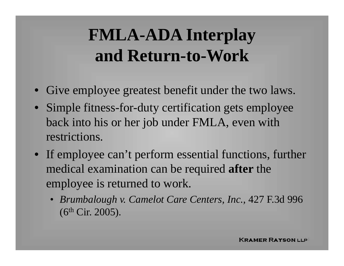#### **FMLA-ADA Interplay and Return-to-Work**

- Give employee greatest benefit under the two laws.
- Simple fitness-for-duty certification gets employee back into his or her job under FMLA, even with restrictions.
- If employee can't perform essential functions, further medical examination can be required **after** the employee is returned to work.
	- *Brumbalough v. Camelot Care Centers, Inc.,* 427 F.3d 996 (6th Cir. 2005).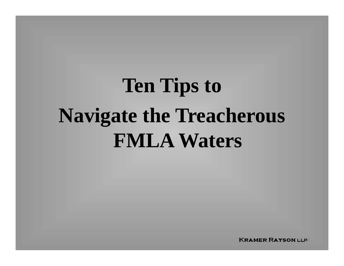# **Ten Tips to Navigate the Treacherous FMLA Waters**

**KRAMER RAYSON LLP**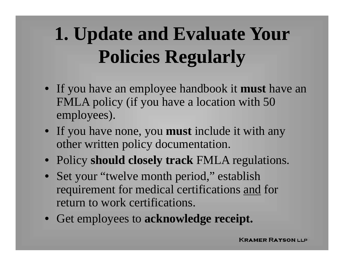# **1. Update and Evaluate Your Policies Regularly**

- If you have an employee handbook it **must** have an FMLA policy (if you have a location with 50 employees).
- If you have none, you **must** include it with any other written policy documentation.
- Policy **should closely track** FMLA regulations.
- Set your "twelve month period," establish requirement for medical certifications and for return to work certifications.
- Get employees to **acknowledge receipt.**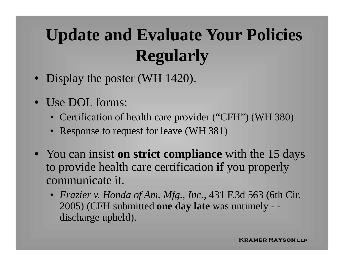#### **Update and Evaluate Your Policies Regularly**

- Display the poster (WH 1420).
- $\bullet$  Use DOL forms:
	- Certification of health care provider ("CFH") (WH 380)
	- Response to request for leave (WH 381)
- You can insist **on strict compliance** with the 15 days to provide health care certification **if** you properly communicate it.
	- *Frazier v. Honda of Am. Mfg., Inc.*, 431 F.3d 563 (6th Cir. 2005) (CFH submitted **one day late** was untimely - discharge upheld).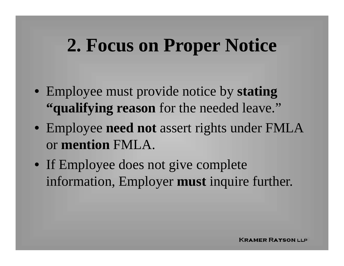#### **2. Focus on Proper Notice**

- Employee must provide notice by **stating "qualifying reason** for the needed leave."
- Employee **need not** assert rights under FMLA or **mention** FMLA.
- If Employee does not give complete information, Employer **must** inquire further.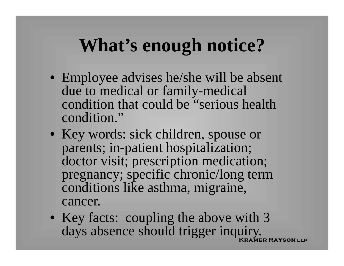#### **What's enough notice?**

- Employee advises he/she will be absent due to medical or family-medical condition that could be "serious health condition."
- Key words: sick children, spouse or parents; in-patient hospitalization; doctor visit; prescription medication; pregnancy; specific chronic/long term conditions like asthma, migraine, cancer.
- Key facts: coupling the above with 3 days absence should trigger inquiry.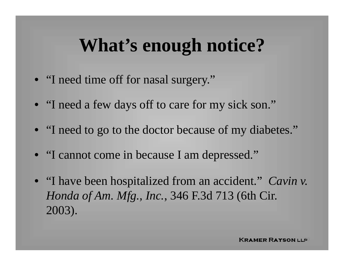#### **What's enough notice?**

- "I need time off for nasal surgery."
- "I need a few days off to care for my sick son."
- "I need to go to the doctor because of my diabetes."
- "I cannot come in because I am depressed."
- "I have been hospitalized from an accident." *Cavin v. Honda of Am. Mfg., Inc.*, 346 F.3d 713 (6th Cir. 2003).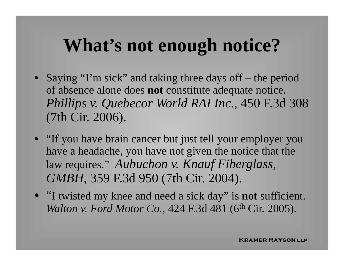#### **What's not enough notice?**

- Saying "I'm sick" and taking three days off the period of absence alone does **not** constitute adequate notice. *Phillips v. Quebecor World RAI Inc*., 450 F.3d 308 (7th Cir. 2006).
- "If you have brain cancer but just tell your employer you have a headache, you have not given the notice that the law requires." *Aubuchon v. Knauf Fiberglass, GMBH*, 359 F.3d 950 (7th Cir. 2004).
- "I twisted my knee and need a sick day" is **not** sufficient. *Walton v. Ford Motor Co.*, 424 F.3d 481 (6<sup>th</sup> Cir. 2005).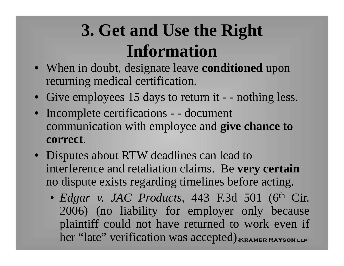#### **3. Get and Use the Right Information**

- When in doubt, designate leave **conditioned** upon returning medical certification.
- Give employees 15 days to return it - nothing less.
- Incomplete certifications - document communication with employee and **give chance to correct**.
- Disputes about RTW deadlines can lead to interference and retaliation claims. Be **very certain** no dispute exists regarding timelines before acting.
	- • *Edgar v. JAC Products*, 443 F.3d 501 (6th Cir. 2006) (no liability for employer only because plaintiff could not have returned to work even if her "late" verification was accepted) KRAMER RAYSON LLP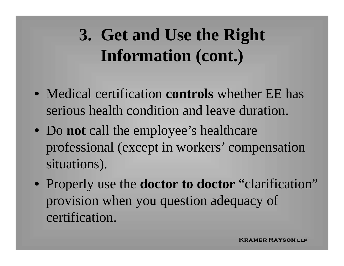#### **3. Get and Use the Right Information (cont.)**

- Medical certification **controls** whether EE has serious health condition and leave duration.
- Do **not** call the employee's healthcare professional (except in workers' compensation situations).
- Properly use the **doctor to doctor** "clarification" provision when you question adequacy of certification.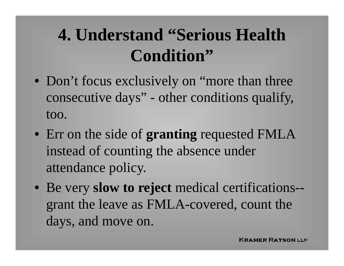#### **4. Understand "Serious Health Condition"**

- Don't focus exclusively on "more than three consecutive days" - other conditions qualify, too.
- Err on the side of **granting** requested FMLA instead of counting the absence under attendance policy.
- Be very **slow to reject** medical certifications- grant the leave as FMLA-covered, count the days, and move on.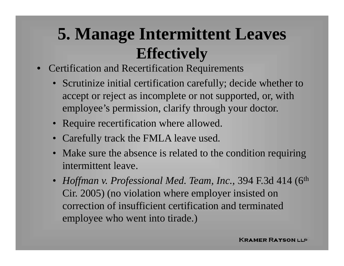#### **5. Manage Intermittent Leaves Effectively**

- • Certification and Recertification Requirements
	- Scrutinize initial certification carefully; decide whether to accept or reject as incomplete or not supported, or, with employee's permission, clarify through your doctor.
	- Require recertification where allowed.
	- $\bullet$ Carefully track the FMLA leave used.
	- • Make sure the absence is related to the condition requiring intermittent leave.
	- *Hoffman v. Professional Med. Team, Inc.,* 394 F.3d 414 (6th Cir. 2005) (no violation where employer insisted on correction of insufficient certification and terminated employee who went into tirade.)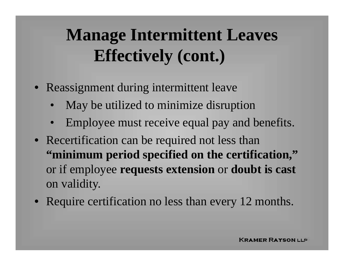#### **Manage Intermittent Leaves Effectively (cont.)**

- Reassignment during intermittent leave
	- •May be utilized to minimize disruption
	- $\bullet$ Employee must receive equal pay and benefits.
- Recertification can be required not less than **"minimum period specified on the certification,"**  or if employee **requests extension** or **doubt is cast**  on validity.
- Require certification no less than every 12 months.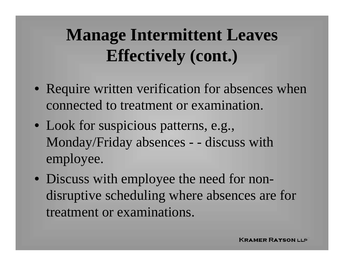#### **Manage Intermittent Leaves Effectively (cont.)**

- Require written verification for absences when connected to treatment or examination.
- Look for suspicious patterns, e.g., Monday/Friday absences - - discuss with employee.
- Discuss with employee the need for nondisruptive scheduling where absences are for treatment or examinations.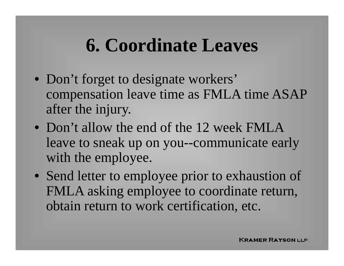#### **6. Coordinate Leaves**

- Don't forget to designate workers' compensation leave time as FMLA time ASAP after the injury.
- Don't allow the end of the 12 week FMLA leave to sneak up on you--communicate early with the employee.
- Send letter to employee prior to exhaustion of FMLA asking employee to coordinate return, obtain return to work certification, etc.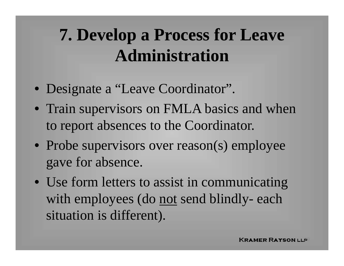#### **7. Develop a Process for Leave Administration**

- Designate a "Leave Coordinator".
- Train supervisors on FMLA basics and when to report absences to the Coordinator.
- Probe supervisors over reason(s) employee gave for absence.
- Use form letters to assist in communicating with employees (do <u>not</u> send blindly- each situation is different).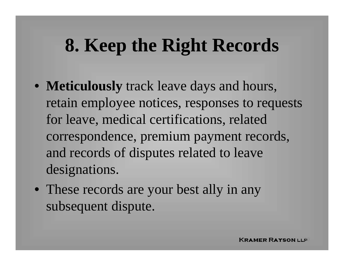## **8. Keep the Right Records**

- **Meticulously** track leave days and hours, retain employee notices, responses to requests for leave, medical certifications, related correspondence, premium payment records, and records of disputes related to leave designations.
- These records are your best ally in any subsequent dispute.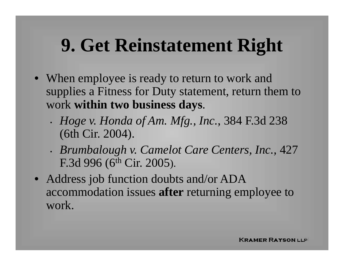## **9. Get Reinstatement Right**

- When employee is ready to return to work and supplies a Fitness for Duty statement, return them to work **within two business days**.
	- • *Hoge v. Honda of Am. Mfg., Inc.*, 384 F.3d 238 (6th Cir. 2004).
	- • *Brumbalough v. Camelot Care Centers, Inc.,* 427 F.3d 996 (6<sup>th</sup> Cir. 2005).
- Address job function doubts and/or ADA accommodation issues **after** returning employee to work.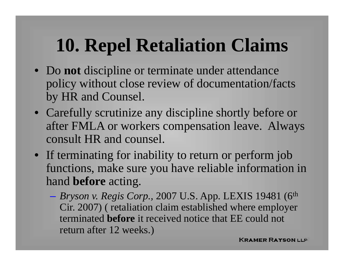## **10. Repel Retaliation Claims**

- Do **not** discipline or terminate under attendance policy without close review of documentation/facts by HR and Counsel.
- Carefully scrutinize any discipline shortly before or after FMLA or workers compensation leave. Always consult HR and counsel.
- If terminating for inability to return or perform job functions, make sure you have reliable information in hand **before** acting.
	- $\mathcal{L}_{\mathcal{A}}$  *Bryson v. Regis Corp.,* 2007 U.S. App. LEXIS 19481 (6th Cir. 2007) ( retaliation claim established where employer terminated **before** it received notice that EE could not return after 12 weeks.)